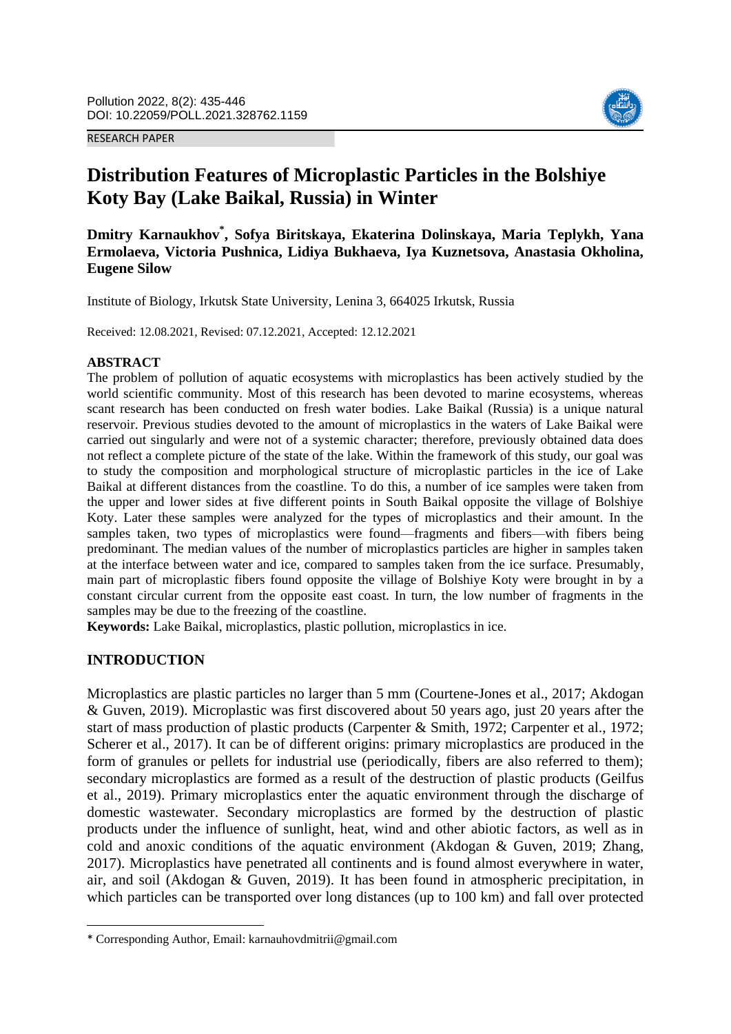#### RESEARCH PAPER



# **Distribution Features of Microplastic Particles in the Bolshiye Koty Bay (Lake Baikal, Russia) in Winter**

**Dmitry Karnaukhov\* , Sofya Biritskaya, Ekaterina Dolinskaya, Maria Teplykh, Yana Ermolaeva, Victoria Pushnica, Lidiya Bukhaeva, Iya Kuznetsova, Anastasia Okholina, Eugene Silow**

Institute of Biology, Irkutsk State University, Lenina 3, 664025 Irkutsk, Russia

Received: 12.08.2021, Revised: 07.12.2021, Accepted: 12.12.2021

#### **ABSTRACT**

The problem of pollution of aquatic ecosystems with microplastics has been actively studied by the world scientific community. Most of this research has been devoted to marine ecosystems, whereas scant research has been conducted on fresh water bodies. Lake Baikal (Russia) is a unique natural reservoir. Previous studies devoted to the amount of microplastics in the waters of Lake Baikal were carried out singularly and were not of a systemic character; therefore, previously obtained data does not reflect a complete picture of the state of the lake. Within the framework of this study, our goal was to study the composition and morphological structure of microplastic particles in the ice of Lake Baikal at different distances from the coastline. To do this, a number of ice samples were taken from the upper and lower sides at five different points in South Baikal opposite the village of Bolshiye Koty. Later these samples were analyzed for the types of microplastics and their amount. In the samples taken, two types of microplastics were found—fragments and fibers—with fibers being predominant. The median values of the number of microplastics particles are higher in samples taken at the interface between water and ice, compared to samples taken from the ice surface. Presumably, main part of microplastic fibers found opposite the village of Bolshiye Koty were brought in by a constant circular current from the opposite east coast. In turn, the low number of fragments in the samples may be due to the freezing of the coastline.

**Keywords:** Lake Baikal, microplastics, plastic pollution, microplastics in ice.

### **INTRODUCTION**

**.** 

Microplastics are plastic particles no larger than 5 mm (Courtene-Jones et al., 2017; Akdogan & Guven, 2019). Microplastic was first discovered about 50 years ago, just 20 years after the start of mass production of plastic products (Carpenter & Smith, 1972; Carpenter et al., 1972; Scherer et al., 2017). It can be of different origins: primary microplastics are produced in the form of granules or pellets for industrial use (periodically, fibers are also referred to them); secondary microplastics are formed as a result of the destruction of plastic products (Geilfus et al., 2019). Primary microplastics enter the aquatic environment through the discharge of domestic wastewater. Secondary microplastics are formed by the destruction of plastic products under the influence of sunlight, heat, wind and other abiotic factors, as well as in cold and anoxic conditions of the aquatic environment (Akdogan & Guven, 2019; Zhang, 2017). Microplastics have penetrated all continents and is found almost everywhere in water, air, and soil (Akdogan & Guven, 2019). It has been found in atmospheric precipitation, in which particles can be transported over long distances (up to 100 km) and fall over protected

<sup>\*</sup> Corresponding Author, Email: karnauhovdmitrii@gmail.com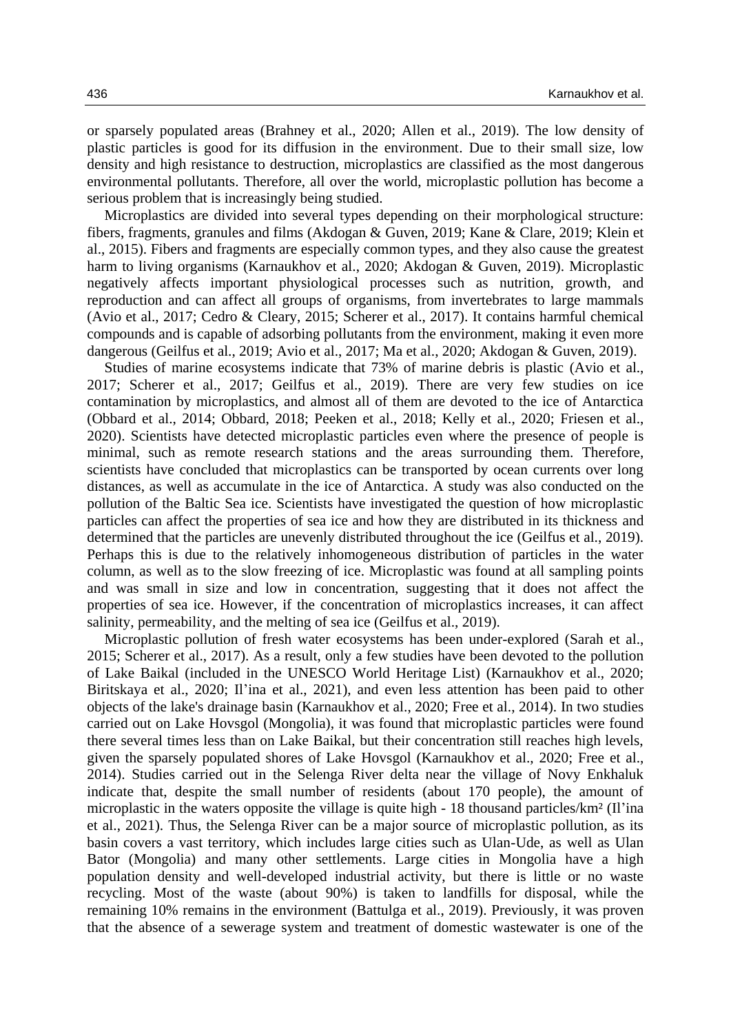or sparsely populated areas (Brahney et al., 2020; Allen et al., 2019). The low density of plastic particles is good for its diffusion in the environment. Due to their small size, low density and high resistance to destruction, microplastics are classified as the most dangerous environmental pollutants. Therefore, all over the world, microplastic pollution has become a serious problem that is increasingly being studied.

Microplastics are divided into several types depending on their morphological structure: fibers, fragments, granules and films (Akdogan & Guven, 2019; Kane & Clare, 2019; Klein et al., 2015). Fibers and fragments are especially common types, and they also cause the greatest harm to living organisms (Karnaukhov et al., 2020; Akdogan & Guven, 2019). Microplastic negatively affects important physiological processes such as nutrition, growth, and reproduction and can affect all groups of organisms, from invertebrates to large mammals (Avio et al., 2017; Cedro & Cleary, 2015; Scherer et al., 2017). It contains harmful chemical compounds and is capable of adsorbing pollutants from the environment, making it even more dangerous (Geilfus et al., 2019; Avio et al., 2017; Ma et al., 2020; Akdogan & Guven, 2019).

Studies of marine ecosystems indicate that 73% of marine debris is plastic (Avio et al., 2017; Scherer et al., 2017; Geilfus et al., 2019). There are very few studies on ice contamination by microplastics, and almost all of them are devoted to the ice of Antarctica (Obbard et al., 2014; Obbard, 2018; Peeken et al., 2018; Kelly et al., 2020; Friesen et al., 2020). Scientists have detected microplastic particles even where the presence of people is minimal, such as remote research stations and the areas surrounding them. Therefore, scientists have concluded that microplastics can be transported by ocean currents over long distances, as well as accumulate in the ice of Antarctica. A study was also conducted on the pollution of the Baltic Sea ice. Scientists have investigated the question of how microplastic particles can affect the properties of sea ice and how they are distributed in its thickness and determined that the particles are unevenly distributed throughout the ice (Geilfus et al., 2019). Perhaps this is due to the relatively inhomogeneous distribution of particles in the water column, as well as to the slow freezing of ice. Microplastic was found at all sampling points and was small in size and low in concentration, suggesting that it does not affect the properties of sea ice. However, if the concentration of microplastics increases, it can affect salinity, permeability, and the melting of sea ice (Geilfus et al., 2019).

Microplastic pollution of fresh water ecosystems has been under-explored (Sarah et al., 2015; Scherer et al., 2017). As a result, only a few studies have been devoted to the pollution of Lake Baikal (included in the UNESCO World Heritage List) (Karnaukhov et al., 2020; Biritskaya et al., 2020; Il'ina et al., 2021), and even less attention has been paid to other objects of the lake's drainage basin (Karnaukhov et al., 2020; Free et al., 2014). In two studies carried out on Lake Hovsgol (Mongolia), it was found that microplastic particles were found there several times less than on Lake Baikal, but their concentration still reaches high levels, given the sparsely populated shores of Lake Hovsgol (Karnaukhov et al., 2020; Free et al., 2014). Studies carried out in the Selenga River delta near the village of Novy Enkhaluk indicate that, despite the small number of residents (about 170 people), the amount of microplastic in the waters opposite the village is quite high - 18 thousand particles/km² (Il'ina et al., 2021). Thus, the Selenga River can be a major source of microplastic pollution, as its basin covers a vast territory, which includes large cities such as Ulan-Ude, as well as Ulan Bator (Mongolia) and many other settlements. Large cities in Mongolia have a high population density and well-developed industrial activity, but there is little or no waste recycling. Most of the waste (about 90%) is taken to landfills for disposal, while the remaining 10% remains in the environment (Battulga et al., 2019). Previously, it was proven that the absence of a sewerage system and treatment of domestic wastewater is one of the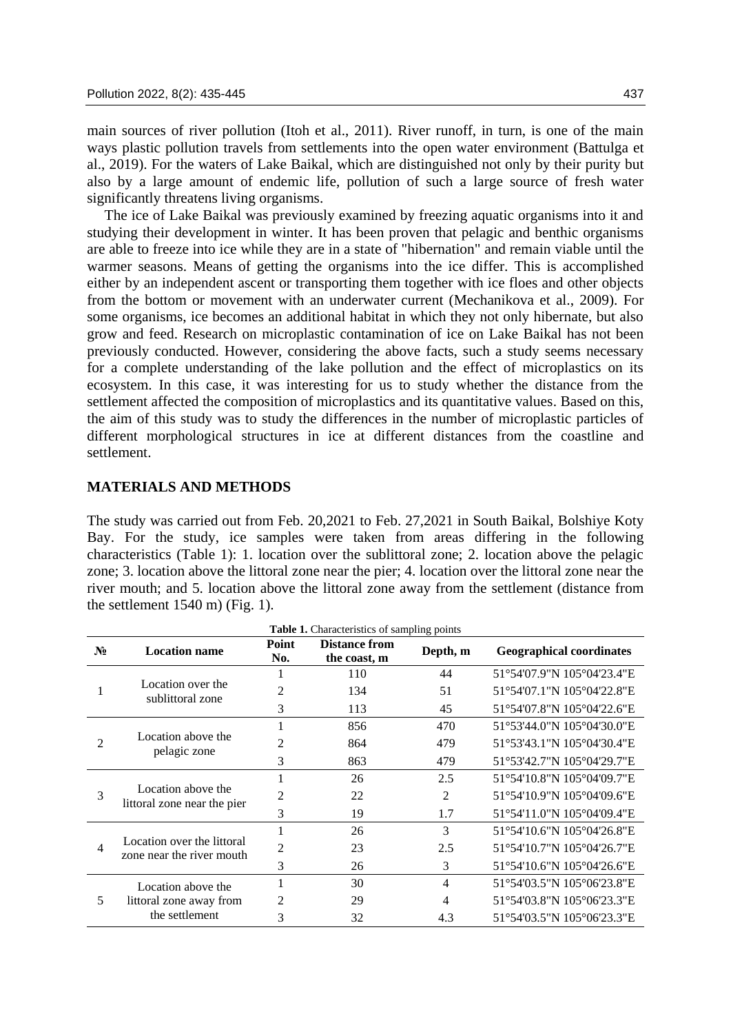main sources of river pollution (Itoh et al., 2011). River runoff, in turn, is one of the main ways plastic pollution travels from settlements into the open water environment (Battulga et al., 2019). For the waters of Lake Baikal, which are distinguished not only by their purity but also by a large amount of endemic life, pollution of such a large source of fresh water significantly threatens living organisms.

The ice of Lake Baikal was previously examined by freezing aquatic organisms into it and studying their development in winter. It has been proven that pelagic and benthic organisms are able to freeze into ice while they are in a state of "hibernation" and remain viable until the warmer seasons. Means of getting the organisms into the ice differ. This is accomplished either by an independent ascent or transporting them together with ice floes and other objects from the bottom or movement with an underwater current (Mechanikova et al., 2009). For some organisms, ice becomes an additional habitat in which they not only hibernate, but also grow and feed. Research on microplastic contamination of ice on Lake Baikal has not been previously conducted. However, considering the above facts, such a study seems necessary for a complete understanding of the lake pollution and the effect of microplastics on its ecosystem. In this case, it was interesting for us to study whether the distance from the settlement affected the composition of microplastics and its quantitative values. Based on this, the aim of this study was to study the differences in the number of microplastic particles of different morphological structures in ice at different distances from the coastline and settlement.

#### **MATERIALS AND METHODS**

The study was carried out from Feb. 20,2021 to Feb. 27,2021 in South Baikal, Bolshiye Koty Bay. For the study, ice samples were taken from areas differing in the following characteristics (Table 1): 1. location over the sublittoral zone; 2. location above the pelagic zone; 3. location above the littoral zone near the pier; 4. location over the littoral zone near the river mouth; and 5. location above the littoral zone away from the settlement (distance from the settlement 1540 m) (Fig. 1).

| Table 1. Characteristics of sampling points |                                                                 |                |                                      |          |                                 |  |  |  |
|---------------------------------------------|-----------------------------------------------------------------|----------------|--------------------------------------|----------|---------------------------------|--|--|--|
| $N_2$                                       | <b>Location name</b>                                            | Point<br>No.   | <b>Distance from</b><br>the coast, m | Depth, m | <b>Geographical coordinates</b> |  |  |  |
|                                             | Location over the<br>sublittoral zone                           |                | 110                                  | 44       | 51°54'07.9"N 105°04'23.4"E      |  |  |  |
|                                             |                                                                 | 2              | 134                                  | 51       | 51°54'07.1"N 105°04'22.8"E      |  |  |  |
|                                             |                                                                 | 3              | 113                                  | 45       | 51°54'07.8"N 105°04'22.6"E      |  |  |  |
|                                             | Location above the<br>pelagic zone                              |                | 856                                  | 470      | 51°53'44.0"N 105°04'30.0"E      |  |  |  |
|                                             |                                                                 | $\overline{c}$ | 864                                  | 479      | 51°53'43.1"N 105°04'30.4"E      |  |  |  |
|                                             |                                                                 | 3              | 863                                  | 479      | 51°53'42.7"N 105°04'29.7"E      |  |  |  |
| 3                                           | Location above the<br>littoral zone near the pier               |                | 26                                   | 2.5      | 51°54'10.8"N 105°04'09.7"E      |  |  |  |
|                                             |                                                                 | 2              | 22                                   | 2        | 51°54'10.9"N 105°04'09.6"E      |  |  |  |
|                                             |                                                                 | 3              | 19                                   | 1.7      | 51°54'11.0"N 105°04'09.4"E      |  |  |  |
| 4                                           | Location over the littoral<br>zone near the river mouth         |                | 26                                   | 3        | 51°54'10.6"N 105°04'26.8"E      |  |  |  |
|                                             |                                                                 | 2              | 23                                   | 2.5      | 51°54'10.7"N 105°04'26.7"E      |  |  |  |
|                                             |                                                                 | 3              | 26                                   | 3        | 51°54'10.6"N 105°04'26.6"E      |  |  |  |
| 5                                           | Location above the<br>littoral zone away from<br>the settlement |                | 30                                   | 4        | 51°54′03.5″N 105°06′23.8″E      |  |  |  |
|                                             |                                                                 | 2              | 29                                   | 4        | 51°54'03.8"N 105°06'23.3"E      |  |  |  |
|                                             |                                                                 | 3              | 32                                   | 4.3      | 51°54′03.5″N 105°06′23.3″E      |  |  |  |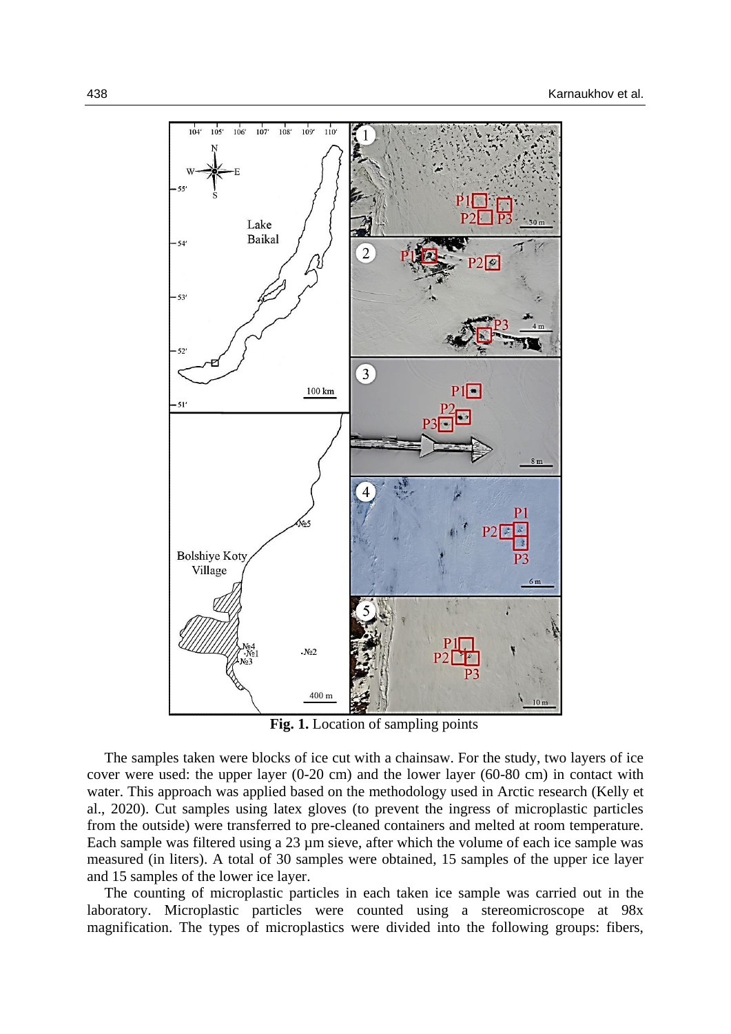

Fig. 1. Location of sampling points

The samples taken were blocks of ice cut with a chainsaw. For the study, two layers of ice cover were used: the upper layer (0-20 cm) and the lower layer (60-80 cm) in contact with water. This approach was applied based on the methodology used in Arctic research (Kelly et al., 2020). Cut samples using latex gloves (to prevent the ingress of microplastic particles from the outside) were transferred to pre-cleaned containers and melted at room temperature. Each sample was filtered using a 23 µm sieve, after which the volume of each ice sample was measured (in liters). A total of 30 samples were obtained, 15 samples of the upper ice layer and 15 samples of the lower ice layer.

The counting of microplastic particles in each taken ice sample was carried out in the laboratory. Microplastic particles were counted using a stereomicroscope at 98x magnification. The types of microplastics were divided into the following groups: fibers,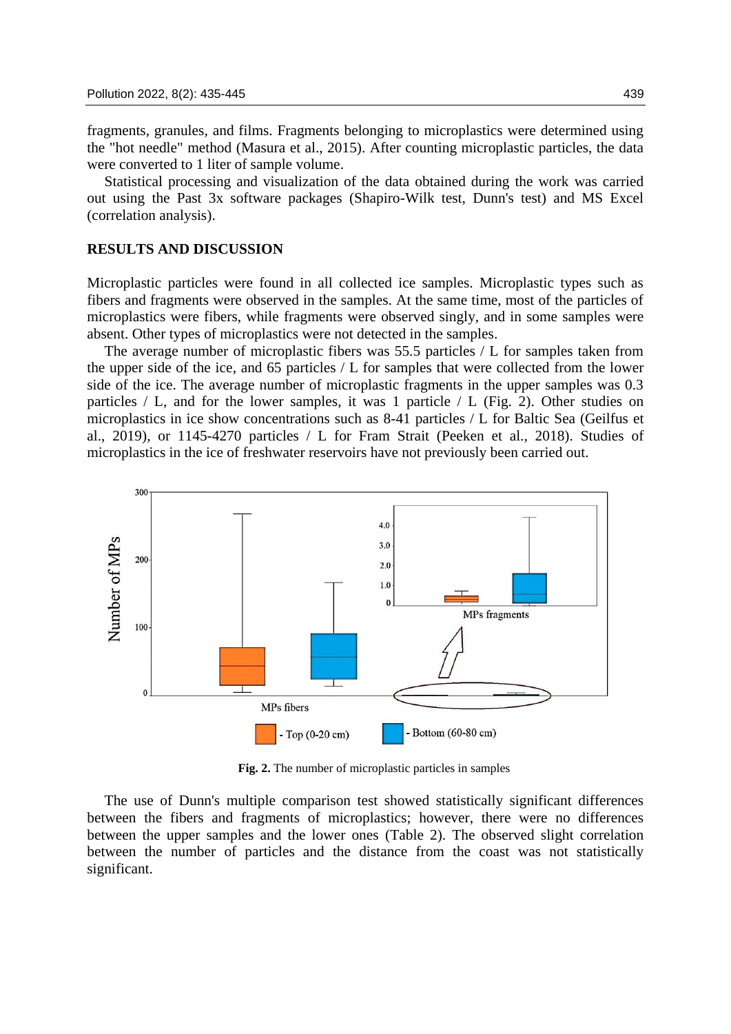fragments, granules, and films. Fragments belonging to microplastics were determined using the "hot needle" method (Masura et al., 2015). After counting microplastic particles, the data were converted to 1 liter of sample volume.

Statistical processing and visualization of the data obtained during the work was carried out using the Past 3x software packages (Shapiro-Wilk test, Dunn's test) and MS Excel (correlation analysis).

## **RESULTS AND DISCUSSION**

Microplastic particles were found in all collected ice samples. Microplastic types such as fibers and fragments were observed in the samples. At the same time, most of the particles of microplastics were fibers, while fragments were observed singly, and in some samples were absent. Other types of microplastics were not detected in the samples.

The average number of microplastic fibers was 55.5 particles / L for samples taken from the upper side of the ice, and 65 particles / L for samples that were collected from the lower side of the ice. The average number of microplastic fragments in the upper samples was 0.3 particles  $/ L$ , and for the lower samples, it was 1 particle  $/ L$  (Fig. 2). Other studies on microplastics in ice show concentrations such as 8-41 particles / L for Baltic Sea (Geilfus et al., 2019), or 1145-4270 particles / L for Fram Strait (Peeken et al., 2018). Studies of microplastics in the ice of freshwater reservoirs have not previously been carried out.



**Fig. 2.** The number of microplastic particles in samples

The use of Dunn's multiple comparison test showed statistically significant differences between the fibers and fragments of microplastics; however, there were no differences between the upper samples and the lower ones (Table 2). The observed slight correlation between the number of particles and the distance from the coast was not statistically significant.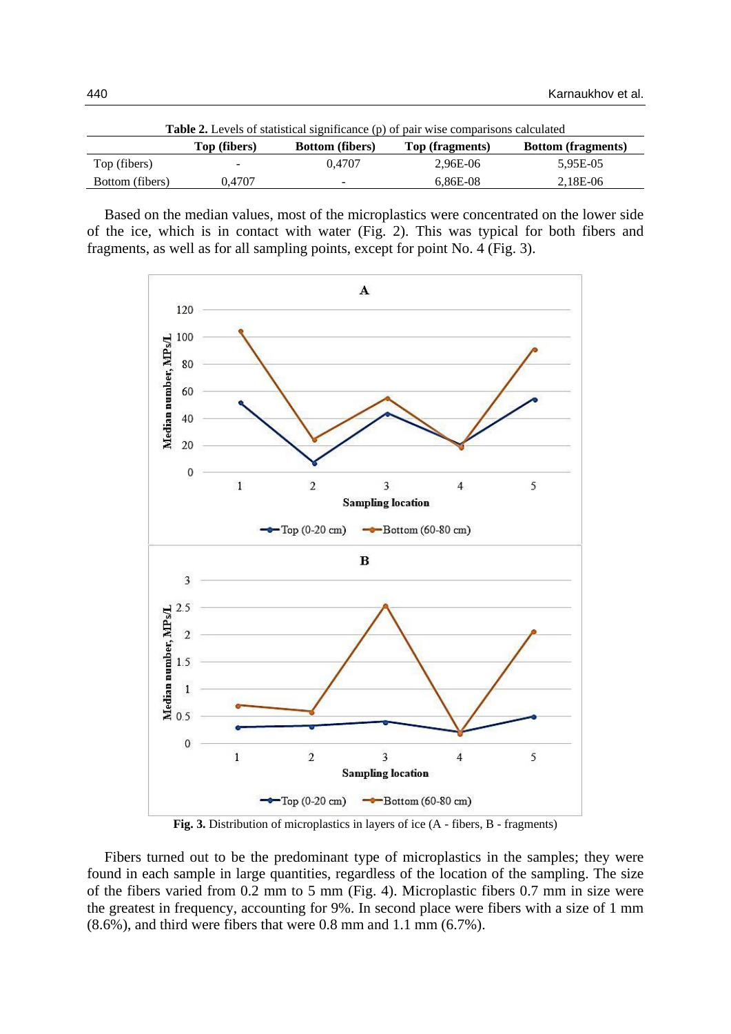| <b>Table 2.</b> Levels of statistical significance (p) of pair wise comparisons calculated |              |                          |                 |                           |  |  |  |
|--------------------------------------------------------------------------------------------|--------------|--------------------------|-----------------|---------------------------|--|--|--|
|                                                                                            | Top (fibers) | <b>Bottom</b> (fibers)   | Top (fragments) | <b>Bottom</b> (fragments) |  |  |  |
| Top (fibers)                                                                               | $\sim$       | 0.4707                   | 2.96E-06        | 5.95E-05                  |  |  |  |
| Bottom (fibers)                                                                            | 0.4707       | $\overline{\phantom{a}}$ | $6.86E-08$      | 2,18E-06                  |  |  |  |

Based on the median values, most of the microplastics were concentrated on the lower side of the ice, which is in contact with water (Fig. 2). This was typical for both fibers and fragments, as well as for all sampling points, except for point No. 4 (Fig. 3).



**Fig. 3.** Distribution of microplastics in layers of ice (A - fibers, B - fragments)

Fibers turned out to be the predominant type of microplastics in the samples; they were found in each sample in large quantities, regardless of the location of the sampling. The size of the fibers varied from 0.2 mm to 5 mm (Fig. 4). Microplastic fibers 0.7 mm in size were the greatest in frequency, accounting for 9%. In second place were fibers with a size of 1 mm (8.6%), and third were fibers that were 0.8 mm and 1.1 mm (6.7%).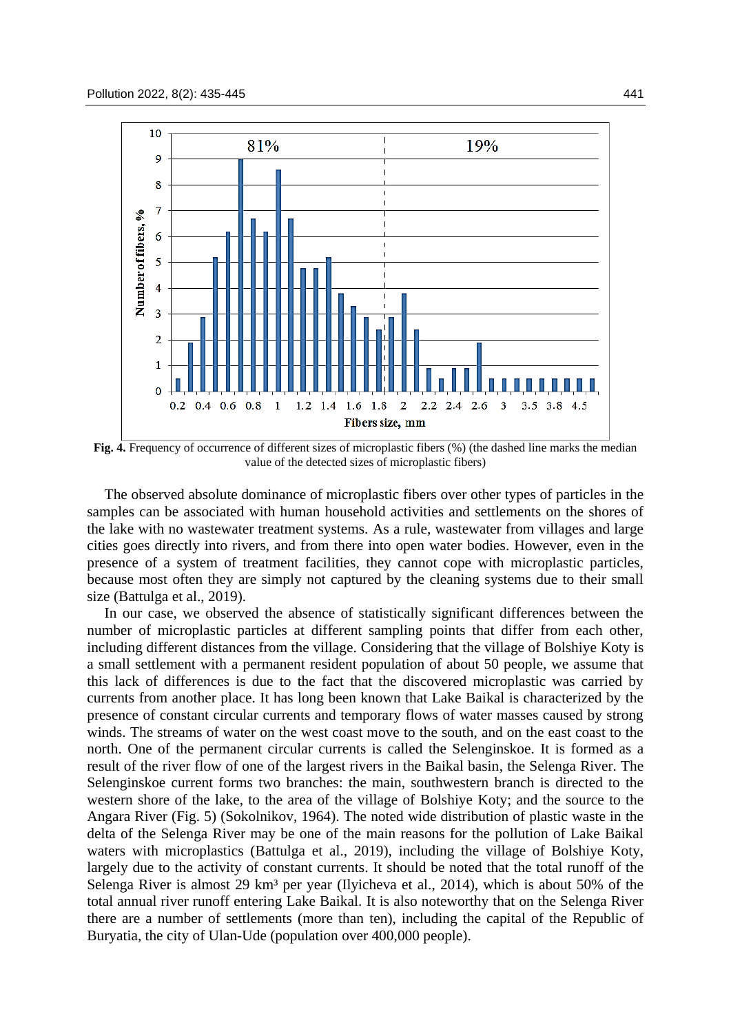

**Fig. 4.** Frequency of occurrence of different sizes of microplastic fibers (%) (the dashed line marks the median value of the detected sizes of microplastic fibers)

The observed absolute dominance of microplastic fibers over other types of particles in the samples can be associated with human household activities and settlements on the shores of the lake with no wastewater treatment systems. As a rule, wastewater from villages and large cities goes directly into rivers, and from there into open water bodies. However, even in the presence of a system of treatment facilities, they cannot cope with microplastic particles, because most often they are simply not captured by the cleaning systems due to their small size (Battulga et al., 2019).

In our case, we observed the absence of statistically significant differences between the number of microplastic particles at different sampling points that differ from each other, including different distances from the village. Considering that the village of Bolshiye Koty is a small settlement with a permanent resident population of about 50 people, we assume that this lack of differences is due to the fact that the discovered microplastic was carried by currents from another place. It has long been known that Lake Baikal is characterized by the presence of constant circular currents and temporary flows of water masses caused by strong winds. The streams of water on the west coast move to the south, and on the east coast to the north. One of the permanent circular currents is called the Selenginskoe. It is formed as a result of the river flow of one of the largest rivers in the Baikal basin, the Selenga River. The Selenginskoe current forms two branches: the main, southwestern branch is directed to the western shore of the lake, to the area of the village of Bolshiye Koty; and the source to the Angara River (Fig. 5) (Sokolnikov, 1964). The noted wide distribution of plastic waste in the delta of the Selenga River may be one of the main reasons for the pollution of Lake Baikal waters with microplastics (Battulga et al., 2019), including the village of Bolshiye Koty, largely due to the activity of constant currents. It should be noted that the total runoff of the Selenga River is almost 29 km<sup>3</sup> per year (Ilyicheva et al., 2014), which is about 50% of the total annual river runoff entering Lake Baikal. It is also noteworthy that on the Selenga River there are a number of settlements (more than ten), including the capital of the Republic of Buryatia, the city of Ulan-Ude (population over 400,000 people).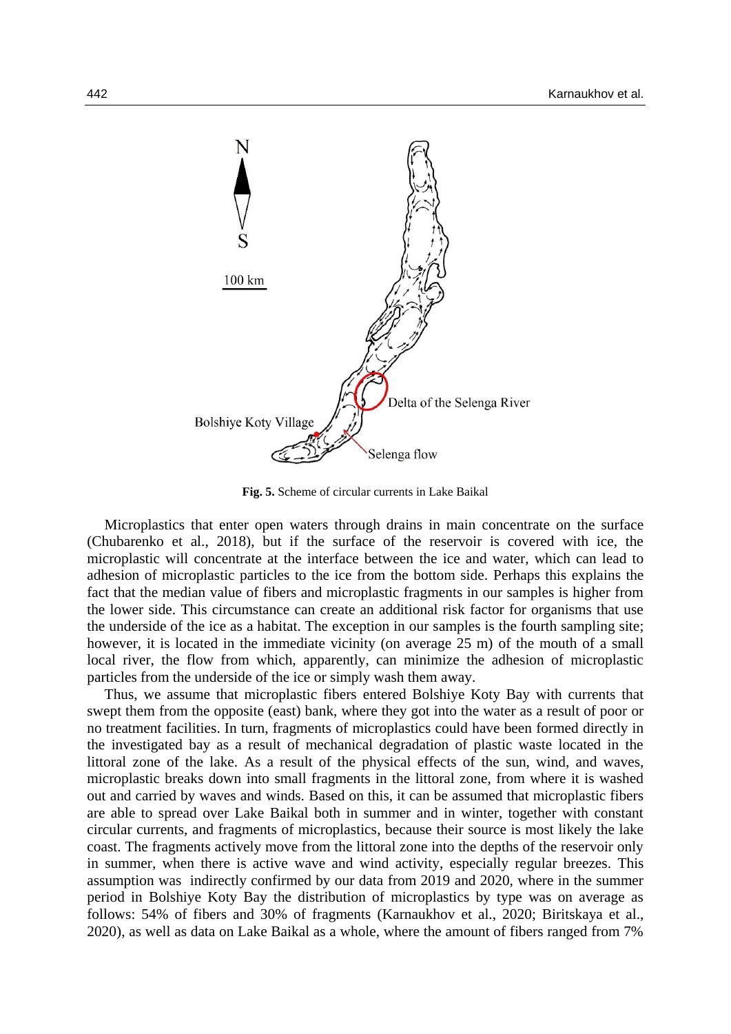

**Fig. 5.** Scheme of circular currents in Lake Baikal

Microplastics that enter open waters through drains in main concentrate on the surface (Chubarenko et al., 2018), but if the surface of the reservoir is covered with ice, the microplastic will concentrate at the interface between the ice and water, which can lead to adhesion of microplastic particles to the ice from the bottom side. Perhaps this explains the fact that the median value of fibers and microplastic fragments in our samples is higher from the lower side. This circumstance can create an additional risk factor for organisms that use the underside of the ice as a habitat. The exception in our samples is the fourth sampling site; however, it is located in the immediate vicinity (on average 25 m) of the mouth of a small local river, the flow from which, apparently, can minimize the adhesion of microplastic particles from the underside of the ice or simply wash them away.

Thus, we assume that microplastic fibers entered Bolshiye Koty Bay with currents that swept them from the opposite (east) bank, where they got into the water as a result of poor or no treatment facilities. In turn, fragments of microplastics could have been formed directly in the investigated bay as a result of mechanical degradation of plastic waste located in the littoral zone of the lake. As a result of the physical effects of the sun, wind, and waves, microplastic breaks down into small fragments in the littoral zone, from where it is washed out and carried by waves and winds. Based on this, it can be assumed that microplastic fibers are able to spread over Lake Baikal both in summer and in winter, together with constant circular currents, and fragments of microplastics, because their source is most likely the lake coast. The fragments actively move from the littoral zone into the depths of the reservoir only in summer, when there is active wave and wind activity, especially regular breezes. This assumption was indirectly confirmed by our data from 2019 and 2020, where in the summer period in Bolshiye Koty Bay the distribution of microplastics by type was on average as follows: 54% of fibers and 30% of fragments (Karnaukhov et al., 2020; Biritskaya et al., 2020), as well as data on Lake Baikal as a whole, where the amount of fibers ranged from 7%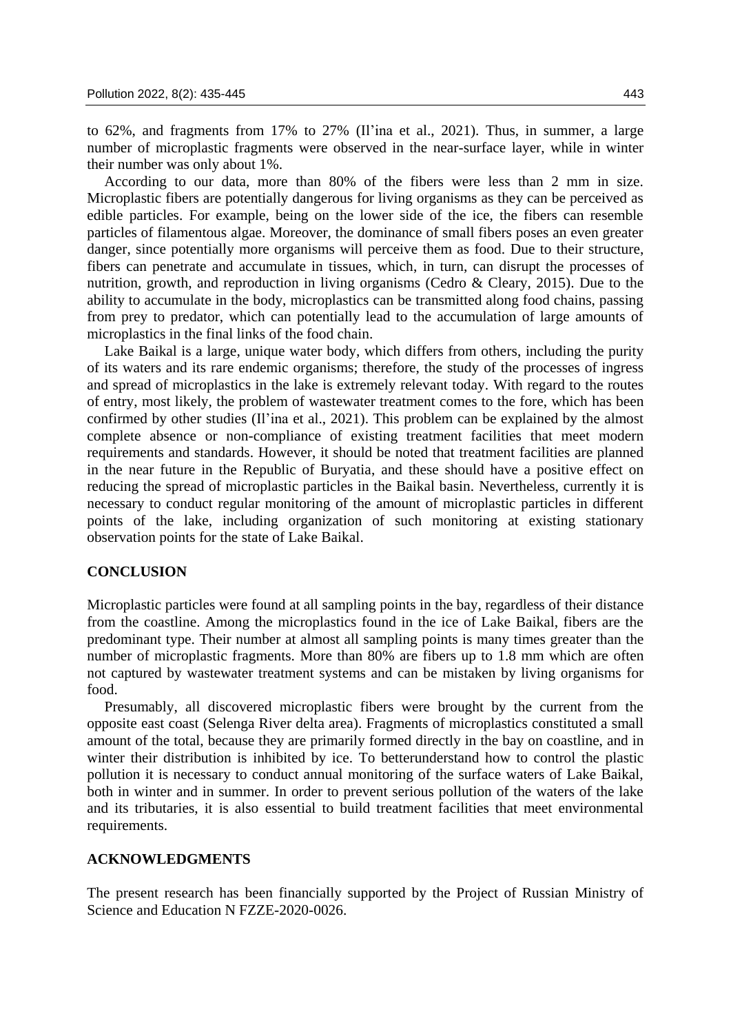to 62%, and fragments from 17% to 27% (Il'ina et al., 2021). Thus, in summer, a large number of microplastic fragments were observed in the near-surface layer, while in winter their number was only about 1%.

According to our data, more than 80% of the fibers were less than 2 mm in size. Microplastic fibers are potentially dangerous for living organisms as they can be perceived as edible particles. For example, being on the lower side of the ice, the fibers can resemble particles of filamentous algae. Moreover, the dominance of small fibers poses an even greater danger, since potentially more organisms will perceive them as food. Due to their structure, fibers can penetrate and accumulate in tissues, which, in turn, can disrupt the processes of nutrition, growth, and reproduction in living organisms (Cedro & Cleary, 2015). Due to the ability to accumulate in the body, microplastics can be transmitted along food chains, passing from prey to predator, which can potentially lead to the accumulation of large amounts of microplastics in the final links of the food chain.

Lake Baikal is a large, unique water body, which differs from others, including the purity of its waters and its rare endemic organisms; therefore, the study of the processes of ingress and spread of microplastics in the lake is extremely relevant today. With regard to the routes of entry, most likely, the problem of wastewater treatment comes to the fore, which has been confirmed by other studies (Il'ina et al., 2021). This problem can be explained by the almost complete absence or non-compliance of existing treatment facilities that meet modern requirements and standards. However, it should be noted that treatment facilities are planned in the near future in the Republic of Buryatia, and these should have a positive effect on reducing the spread of microplastic particles in the Baikal basin. Nevertheless, currently it is necessary to conduct regular monitoring of the amount of microplastic particles in different points of the lake, including organization of such monitoring at existing stationary observation points for the state of Lake Baikal.

#### **CONCLUSION**

Microplastic particles were found at all sampling points in the bay, regardless of their distance from the coastline. Among the microplastics found in the ice of Lake Baikal, fibers are the predominant type. Their number at almost all sampling points is many times greater than the number of microplastic fragments. More than 80% are fibers up to 1.8 mm which are often not captured by wastewater treatment systems and can be mistaken by living organisms for food.

Presumably, all discovered microplastic fibers were brought by the current from the opposite east coast (Selenga River delta area). Fragments of microplastics constituted a small amount of the total, because they are primarily formed directly in the bay on coastline, and in winter their distribution is inhibited by ice. To betterunderstand how to control the plastic pollution it is necessary to conduct annual monitoring of the surface waters of Lake Baikal, both in winter and in summer. In order to prevent serious pollution of the waters of the lake and its tributaries, it is also essential to build treatment facilities that meet environmental requirements.

#### **ACKNOWLEDGMENTS**

The present research has been financially supported by the Project of Russian Ministry of Science and Education N FZZE-2020-0026.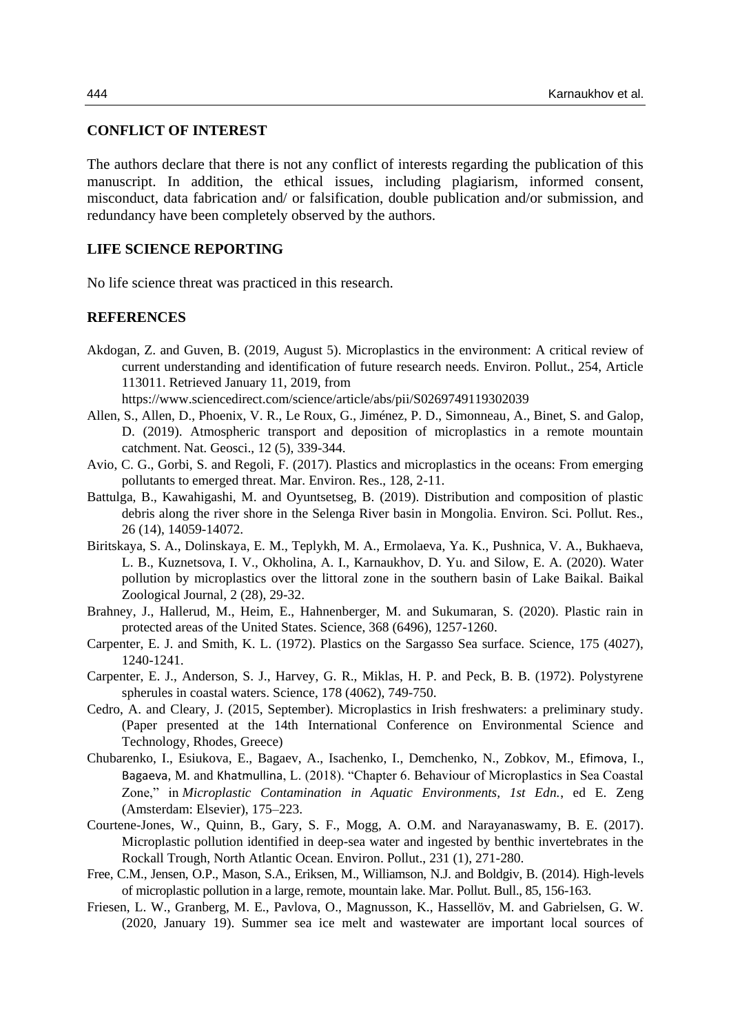### **CONFLICT OF INTEREST**

The authors declare that there is not any conflict of interests regarding the publication of this manuscript. In addition, the ethical issues, including plagiarism, informed consent, misconduct, data fabrication and/ or falsification, double publication and/or submission, and redundancy have been completely observed by the authors.

## **LIFE SCIENCE REPORTING**

No life science threat was practiced in this research.

#### **REFERENCES**

Akdogan, Z. and Guven, B. (2019, August 5). Microplastics in the environment: A critical review of current understanding and identification of future research needs. Environ. Pollut., 254, Article 113011. Retrieved January 11, 2019, from

https://www.sciencedirect.com/science/article/abs/pii/S0269749119302039

- Allen, S., Allen, D., Phoenix, V. R., Le Roux, G., Jiménez, P. D., Simonneau, A., Binet, S. and Galop, D. (2019). Atmospheric transport and deposition of microplastics in a remote mountain catchment. Nat. Geosci., 12 (5), 339-344.
- Avio, C. G., Gorbi, S. and Regoli, F. (2017). Plastics and microplastics in the oceans: From emerging pollutants to emerged threat. Mar. Environ. Res., 128, 2-11.
- Battulga, B., Kawahigashi, M. and Oyuntsetseg, B. (2019). Distribution and composition of plastic debris along the river shore in the Selenga River basin in Mongolia. Environ. Sci. Pollut. Res., 26 (14), 14059-14072.
- Biritskaya, S. A., Dolinskaya, E. M., Teplykh, M. A., Ermolaeva, Ya. K., Pushnica, V. A., Bukhaeva, L. B., Kuznetsova, I. V., Okholina, A. I., Karnaukhov, D. Yu. and Silow, E. A. (2020). Water pollution by microplastics over the littoral zone in the southern basin of Lake Baikal. Baikal Zoological Journal, 2 (28), 29-32.
- Brahney, J., Hallerud, M., Heim, E., Hahnenberger, M. and Sukumaran, S. (2020). Plastic rain in protected areas of the United States. Science, 368 (6496), 1257-1260.
- Carpenter, E. J. and Smith, K. L. (1972). Plastics on the Sargasso Sea surface. Science, 175 (4027), 1240-1241.
- Carpenter, E. J., Anderson, S. J., Harvey, G. R., Miklas, H. P. and Peck, B. B. (1972). Polystyrene spherules in coastal waters. Science, 178 (4062), 749-750.
- Cedro, A. and Cleary, J. (2015, September). Microplastics in Irish freshwaters: a preliminary study. (Paper presented at the 14th International Conference on Environmental Science and Technology, Rhodes, Greece)
- Chubarenko, I., Esiukova, E., Bagaev, A., Isachenko, I., Demchenko, N., Zobkov, M., Efimova, I., Bagaeva, M. and Khatmullina, L. (2018). "Chapter 6. Behaviour of Microplastics in Sea Coastal Zone," in *Microplastic Contamination in Aquatic Environments, 1st Edn.*, ed E. Zeng (Amsterdam: Elsevier), 175–223.
- Courtene-Jones, W., Quinn, B., Gary, S. F., Mogg, A. O.M. and Narayanaswamy, B. E. (2017). Microplastic pollution identified in deep-sea water and ingested by benthic invertebrates in the Rockall Trough, North Atlantic Ocean. Environ. Pollut., 231 (1), 271-280.
- Free, C.M., Jensen, O.P., Mason, S.A., Eriksen, M., Williamson, N.J. and Boldgiv, B. (2014). High-levels of microplastic pollution in a large, remote, mountain lake. Mar. Pollut. Bull., 85, 156-163.
- Friesen, L. W., Granberg, M. E., Pavlova, O., Magnusson, K., Hassellöv, M. and Gabrielsen, G. W. (2020, January 19). Summer sea ice melt and wastewater are important local sources of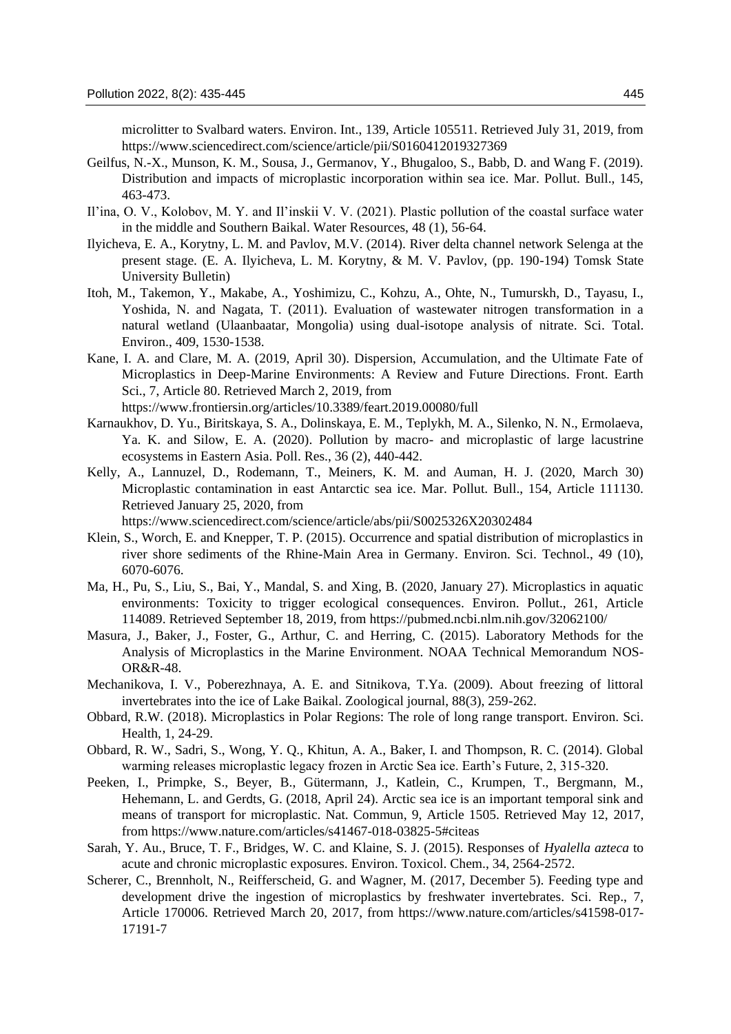microlitter to Svalbard waters. Environ. Int., 139, Article 105511. Retrieved July 31, 2019, from https://www.sciencedirect.com/science/article/pii/S0160412019327369

- Geilfus, N.-X., Munson, K. M., Sousa, J., Germanov, Y., Bhugaloo, S., Babb, D. and Wang F. (2019). Distribution and impacts of microplastic incorporation within sea ice. Mar. Pollut. Bull., 145, 463-473.
- Il'ina, O. V., Kolobov, M. Y. and Il'inskii V. V. (2021). Plastic pollution of the coastal surface water in the middle and Southern Baikal. Water Resources, 48 (1), 56-64.
- Ilyicheva, E. A., Korytny, L. M. and Pavlov, M.V. (2014). River delta channel network Selenga at the present stage. (E. A. Ilyicheva, L. M. Korytny, & M. V. Pavlov, (pp. 190-194) Tomsk State University Bulletin)
- Itoh, M., Takemon, Y., Makabe, A., Yoshimizu, C., Kohzu, A., Ohte, N., Tumurskh, D., Tayasu, I., Yoshida, N. and Nagata, T. (2011). Evaluation of wastewater nitrogen transformation in a natural wetland (Ulaanbaatar, Mongolia) using dual-isotope analysis of nitrate. Sci. Total. Environ., 409, 1530-1538.
- Kane, I. A. and Clare, M. A. (2019, April 30). Dispersion, Accumulation, and the Ultimate Fate of Microplastics in Deep-Marine Environments: A Review and Future Directions. Front. Earth Sci., 7, Article 80. Retrieved March 2, 2019, from

https://www.frontiersin.org/articles/10.3389/feart.2019.00080/full

- Karnaukhov, D. Yu., Biritskaya, S. A., Dolinskaya, E. M., Teplykh, M. A., Silenko, N. N., Ermolaeva, Ya. K. and Silow, E. A. (2020). Pollution by macro- and microplastic of large lacustrine ecosystems in Eastern Asia. Poll. Res., 36 (2), 440-442.
- Kelly, A., Lannuzel, D., Rodemann, T., Meiners, K. M. and Auman, H. J. (2020, March 30) Microplastic contamination in east Antarctic sea ice. Mar. Pollut. Bull., 154, Article 111130. Retrieved January 25, 2020, from

https://www.sciencedirect.com/science/article/abs/pii/S0025326X20302484

- Klein, S., Worch, E. and Knepper, T. P. (2015). Occurrence and spatial distribution of microplastics in river shore sediments of the Rhine-Main Area in Germany. Environ. Sci. Technol., 49 (10), 6070-6076.
- Ma, H., Pu, S., Liu, S., Bai, Y., Mandal, S. and Xing, B. (2020, January 27). Microplastics in aquatic environments: Toxicity to trigger ecological consequences. Environ. Pollut., 261, Article 114089. Retrieved September 18, 2019, from https://pubmed.ncbi.nlm.nih.gov/32062100/
- Masura, J., Baker, J., Foster, G., Arthur, C. and Herring, C. (2015). Laboratory Methods for the Analysis of Microplastics in the Marine Environment. NOAA Technical Memorandum NOS-OR&R-48.
- Mechanikova, I. V., Poberezhnaya, A. E. and Sitnikova, T.Ya. (2009). About freezing of littoral invertebrates into the ice of Lake Baikal. Zoological journal, 88(3), 259-262.
- Obbard, R.W. (2018). Microplastics in Polar Regions: The role of long range transport. Environ. Sci. Health, 1, 24-29.
- Obbard, R. W., Sadri, S., Wong, Y. Q., Khitun, A. A., Baker, I. and Thompson, R. C. (2014). Global warming releases microplastic legacy frozen in Arctic Sea ice. Earth's Future, 2, 315-320.
- Peeken, I., Primpke, S., Beyer, B., Gütermann, J., Katlein, C., Krumpen, T., Bergmann, M., Hehemann, L. and Gerdts, G. (2018, April 24). Arctic sea ice is an important temporal sink and means of transport for microplastic. Nat. Commun, 9, Article 1505. Retrieved May 12, 2017, from https://www.nature.com/articles/s41467-018-03825-5#citeas
- Sarah, Y. Au., Bruce, T. F., Bridges, W. C. and Klaine, S. J. (2015). Responses of *Hyalella azteca* to acute and chronic microplastic exposures. Environ. Toxicol. Chem., 34, 2564-2572.
- Scherer, C., Brennholt, N., Reifferscheid, G. and Wagner, M. (2017, December 5). Feeding type and development drive the ingestion of microplastics by freshwater invertebrates. Sci. Rep., 7, Article 170006. Retrieved March 20, 2017, from https://www.nature.com/articles/s41598-017- 17191-7